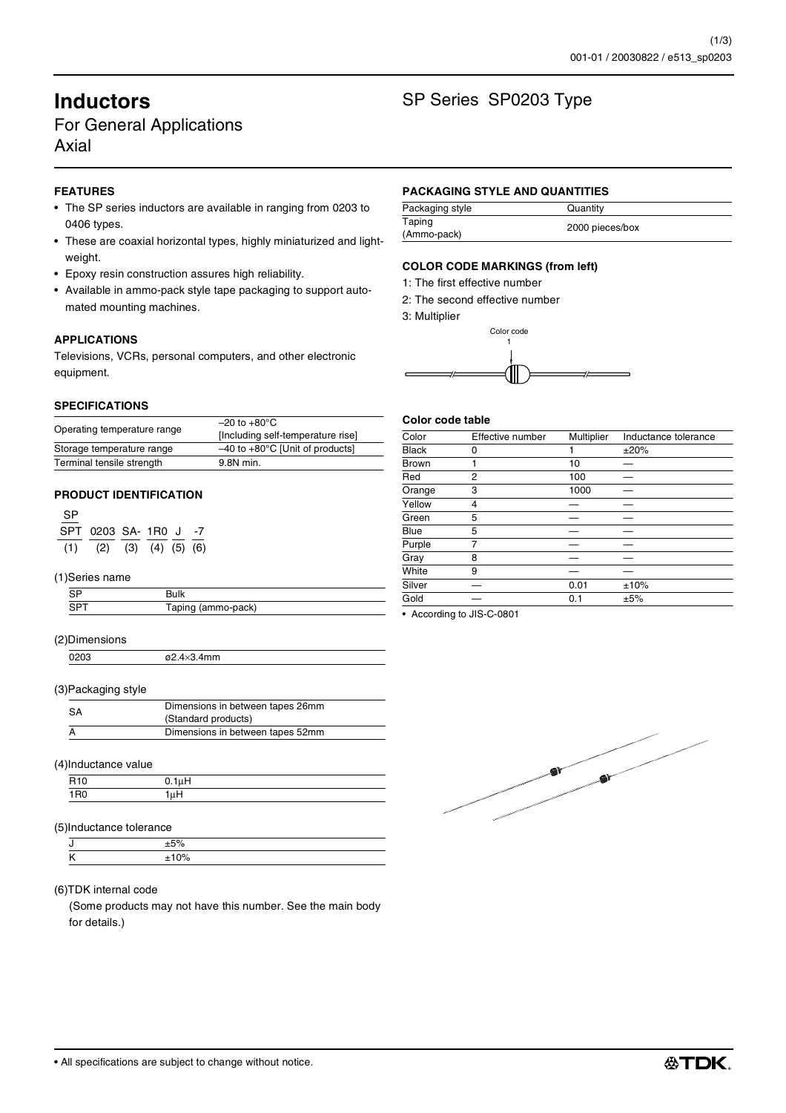# For General Applications Axial

# **FEATURES**

- The SP series inductors are available in ranging from 0203 to 0406 types.
- These are coaxial horizontal types, highly miniaturized and lightweight.
- Epoxy resin construction assures high reliability.
- Available in ammo-pack style tape packaging to support automated mounting machines.

# **APPLICATIONS**

Televisions, VCRs, personal computers, and other electronic equipment.

#### **SPECIFICATIONS**

|                             | $-20$ to $+80^{\circ}$ C                    |
|-----------------------------|---------------------------------------------|
| Operating temperature range | [Including self-temperature rise]           |
| Storage temperature range   | $-40$ to $+80^{\circ}$ C [Unit of products] |
| Terminal tensile strength   | 9.8N min.                                   |

### **PRODUCT IDENTIFICATION**

| <b>SP</b> |                                     |  |  |
|-----------|-------------------------------------|--|--|
|           | SPT 0203 SA- 1R0 J -7               |  |  |
|           | $(1)$ $(2)$ $(3)$ $(4)$ $(5)$ $(6)$ |  |  |

#### (1)Series name

| Tonis<br>Taplity (allillo-<br>uvn, |  |
|------------------------------------|--|

#### (2)Dimensions

0203 ø2.4×3.4mm

#### (3)Packaging style

| <b>SA</b> | Dimensions in between tapes 26mm<br>(Standard products) |
|-----------|---------------------------------------------------------|
|           | Dimensions in between tapes 52mm                        |
|           |                                                         |

#### (4)Inductance value

|   | $\sim$ |  |
|---|--------|--|
| . |        |  |

### (5)Inductance tolerance

#### (6)TDK internal code

(Some products may not have this number. See the main body for details.)

# **Inductors** SP Series SP0203 Type

#### **PACKAGING STYLE AND QUANTITIES**

| Packaging style       | Quantity        |
|-----------------------|-----------------|
| Taping<br>(Ammo-pack) | 2000 pieces/box |

### **COLOR CODE MARKINGS (from left)**

- 1: The first effective number
- 2: The second effective number
- 3: Multiplier



#### **Color code table**

| Color        | Effective number | Multiplier | Inductance tolerance |
|--------------|------------------|------------|----------------------|
| <b>Black</b> | 0                |            | ±20%                 |
| <b>Brown</b> | 1                | 10         |                      |
| Red          | $\overline{2}$   | 100        |                      |
| Orange       | 3                | 1000       |                      |
| Yellow       | 4                |            |                      |
| Green        | 5                |            |                      |
| Blue         | 5                |            |                      |
| Purple       | 7                |            |                      |
| Gray         | 8                |            |                      |
| White        | 9                |            |                      |
| Silver       |                  | 0.01       | ±10%                 |
| Gold         |                  | 0.1        | ±5%                  |

• According to JIS-C-0801

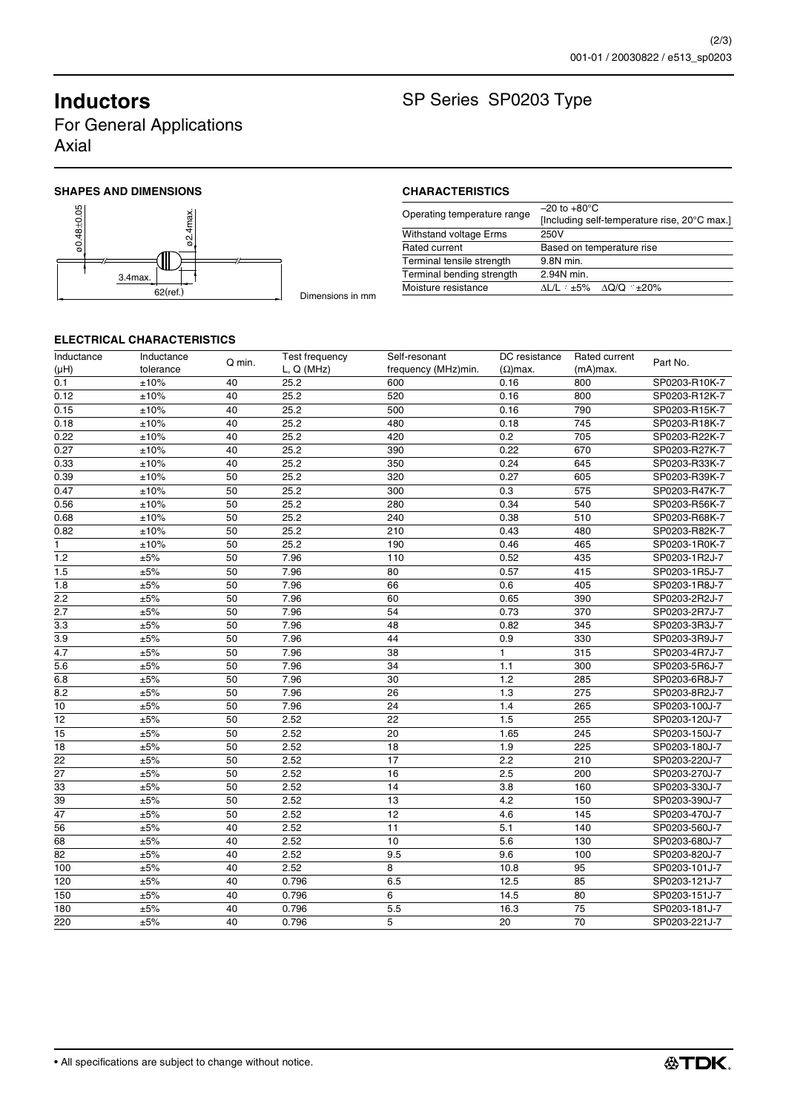For General Applications Axial

# SHAPES AND DIMENSIONS **CHARACTERISTICS**





# **Inductors** SP Series SP0203 Type

| Operating temperature range   | $-20$ to $+80^{\circ}$ C                     |
|-------------------------------|----------------------------------------------|
|                               | [Including self-temperature rise, 20°C max.] |
| <b>Withstand voltage Erms</b> | 250V                                         |
| Rated current                 | Based on temperature rise                    |
| Terminal tensile strength     | 9.8N min.                                    |
| Terminal bending strength     | 2.94N min.                                   |
| Moisture resistance           | ∆L/L ≤±5% ∆Q/Q ≤±20%                         |

## **ELECTRICAL CHARACTERISTICS**

| Inductance<br>(HH) | Inductance<br>tolerance | Q min. | Test frequency<br>L, Q(MHz) | Self-resonant<br>frequency (MHz)min. | DC resistance<br>$(\Omega)$ max. | Rated current<br>(mA)max. | Part No.      |
|--------------------|-------------------------|--------|-----------------------------|--------------------------------------|----------------------------------|---------------------------|---------------|
| 0.1                | ±10%                    | 40     | 25.2                        | 600                                  | 0.16                             | 800                       | SP0203-R10K-7 |
| 0.12               | ±10%                    | 40     | 25.2                        | 520                                  | 0.16                             | 800                       | SP0203-R12K-7 |
| 0.15               | ±10%                    | 40     | 25.2                        | 500                                  | 0.16                             | 790                       | SP0203-R15K-7 |
| 0.18               | ±10%                    | 40     | 25.2                        | 480                                  | 0.18                             | 745                       | SP0203-R18K-7 |
| 0.22               | ±10%                    | 40     | 25.2                        | 420                                  | 0.2                              | 705                       | SP0203-R22K-7 |
| 0.27               | ±10%                    | 40     | 25.2                        | 390                                  | 0.22                             | 670                       | SP0203-R27K-7 |
| 0.33               | ±10%                    | 40     | 25.2                        | 350                                  | 0.24                             | 645                       | SP0203-R33K-7 |
|                    |                         | 50     | 25.2                        | 320                                  | 0.27                             | 605                       | SP0203-R39K-7 |
| 0.39<br>0.47       | ±10%<br>±10%            | 50     | 25.2                        | 300                                  | 0.3                              | 575                       | SP0203-R47K-7 |
|                    |                         | 50     | 25.2                        | 280                                  | 0.34                             | 540                       |               |
| 0.56               | ±10%                    |        |                             |                                      |                                  |                           | SP0203-R56K-7 |
| 0.68               | ±10%                    | 50     | 25.2                        | 240                                  | 0.38                             | 510                       | SP0203-R68K-7 |
| 0.82               | ±10%                    | 50     | 25.2                        | 210                                  | 0.43                             | 480                       | SP0203-R82K-7 |
| 1                  | ±10%                    | 50     | 25.2                        | 190                                  | 0.46                             | 465                       | SP0203-1R0K-7 |
| 1.2                | ±5%                     | 50     | 7.96                        | 110                                  | 0.52                             | 435                       | SP0203-1R2J-7 |
| 1.5                | $\pm 5\%$               | 50     | 7.96                        | 80                                   | 0.57                             | 415                       | SP0203-1R5J-7 |
| 1.8                | ±5%                     | 50     | 7.96                        | 66                                   | 0.6                              | 405                       | SP0203-1R8J-7 |
| 2.2                | $\pm 5\%$               | 50     | 7.96                        | 60                                   | 0.65                             | 390                       | SP0203-2R2J-7 |
| 2.7                | ±5%                     | 50     | 7.96                        | 54                                   | 0.73                             | 370                       | SP0203-2R7J-7 |
| 3.3                | ±5%                     | 50     | 7.96                        | 48                                   | 0.82                             | 345                       | SP0203-3R3J-7 |
| 3.9                | ±5%                     | 50     | 7.96                        | 44                                   | 0.9                              | 330                       | SP0203-3R9J-7 |
| 4.7                | $\pm 5\%$               | 50     | 7.96                        | 38                                   | $\mathbf{1}$                     | 315                       | SP0203-4R7J-7 |
| 5.6                | ±5%                     | 50     | 7.96                        | 34                                   | 1.1                              | 300                       | SP0203-5R6J-7 |
| 6.8                | ±5%                     | 50     | 7.96                        | 30                                   | 1.2                              | 285                       | SP0203-6R8J-7 |
| 8.2                | $\pm 5\%$               | 50     | 7.96                        | 26                                   | 1.3                              | 275                       | SP0203-8R2J-7 |
| 10                 | ±5%                     | 50     | 7.96                        | 24                                   | 1.4                              | 265                       | SP0203-100J-7 |
| 12                 | ±5%                     | 50     | 2.52                        | 22                                   | 1.5                              | 255                       | SP0203-120J-7 |
| 15                 | ±5%                     | 50     | 2.52                        | 20                                   | 1.65                             | 245                       | SP0203-150J-7 |
| 18                 | $\pm 5\%$               | 50     | 2.52                        | 18                                   | 1.9                              | 225                       | SP0203-180J-7 |
| 22                 | ±5%                     | 50     | 2.52                        | 17                                   | 2.2                              | 210                       | SP0203-220J-7 |
| 27                 | ±5%                     | 50     | 2.52                        | 16                                   | 2.5                              | 200                       | SP0203-270J-7 |
| 33                 | ±5%                     | 50     | 2.52                        | 14                                   | 3.8                              | 160                       | SP0203-330J-7 |
| 39                 | $\pm 5\%$               | 50     | 2.52                        | 13                                   | 4.2                              | 150                       | SP0203-390J-7 |
| $\overline{47}$    | ±5%                     | 50     | 2.52                        | 12                                   | 4.6                              | 145                       | SP0203-470J-7 |
| 56                 | ±5%                     | 40     | 2.52                        | 11                                   | 5.1                              | 140                       | SP0203-560J-7 |
| 68                 | ±5%                     | 40     | 2.52                        | 10                                   | 5.6                              | 130                       | SP0203-680J-7 |
| 82                 | ±5%                     | 40     | 2.52                        | 9.5                                  | 9.6                              | 100                       | SP0203-820J-7 |
| 100                | ±5%                     | 40     | 2.52                        | 8                                    | 10.8                             | 95                        | SP0203-101J-7 |
| 120                | ±5%                     | 40     | 0.796                       | 6.5                                  | 12.5                             | 85                        | SP0203-121J-7 |
| 150                | $\pm 5\%$               | 40     | 0.796                       | 6                                    | 14.5                             | 80                        | SP0203-151J-7 |
| 180                | ±5%                     | 40     | 0.796                       | 5.5                                  | 16.3                             | 75                        | SP0203-181J-7 |
| 220                | ±5%                     | 40     | 0.796                       | 5                                    | 20                               | 70                        | SP0203-221J-7 |
|                    |                         |        |                             |                                      |                                  |                           |               |